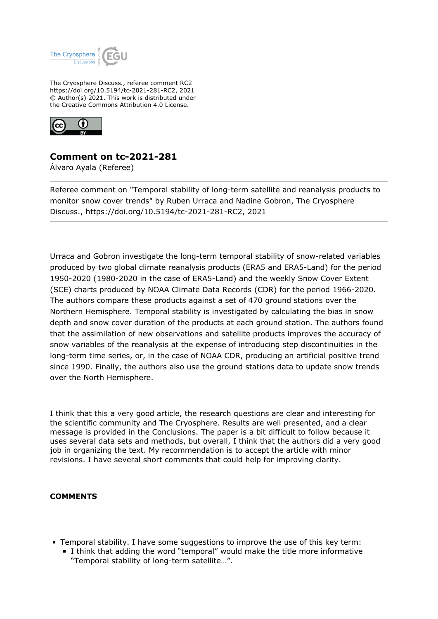

The Cryosphere Discuss., referee comment RC2 https://doi.org/10.5194/tc-2021-281-RC2, 2021 © Author(s) 2021. This work is distributed under the Creative Commons Attribution 4.0 License.



## **Comment on tc-2021-281**

Álvaro Ayala (Referee)

Referee comment on "Temporal stability of long-term satellite and reanalysis products to monitor snow cover trends" by Ruben Urraca and Nadine Gobron, The Cryosphere Discuss., https://doi.org/10.5194/tc-2021-281-RC2, 2021

Urraca and Gobron investigate the long-term temporal stability of snow-related variables produced by two global climate reanalysis products (ERA5 and ERA5-Land) for the period 1950-2020 (1980-2020 in the case of ERA5-Land) and the weekly Snow Cover Extent (SCE) charts produced by NOAA Climate Data Records (CDR) for the period 1966-2020. The authors compare these products against a set of 470 ground stations over the Northern Hemisphere. Temporal stability is investigated by calculating the bias in snow depth and snow cover duration of the products at each ground station. The authors found that the assimilation of new observations and satellite products improves the accuracy of snow variables of the reanalysis at the expense of introducing step discontinuities in the long-term time series, or, in the case of NOAA CDR, producing an artificial positive trend since 1990. Finally, the authors also use the ground stations data to update snow trends over the North Hemisphere.

I think that this a very good article, the research questions are clear and interesting for the scientific community and The Cryosphere. Results are well presented, and a clear message is provided in the Conclusions. The paper is a bit difficult to follow because it uses several data sets and methods, but overall, I think that the authors did a very good job in organizing the text. My recommendation is to accept the article with minor revisions. I have several short comments that could help for improving clarity.

## **COMMENTS**

- **Temporal stability. I have some suggestions to improve the use of this key term:** 
	- I think that adding the word "temporal" would make the title more informative "Temporal stability of long-term satellite…".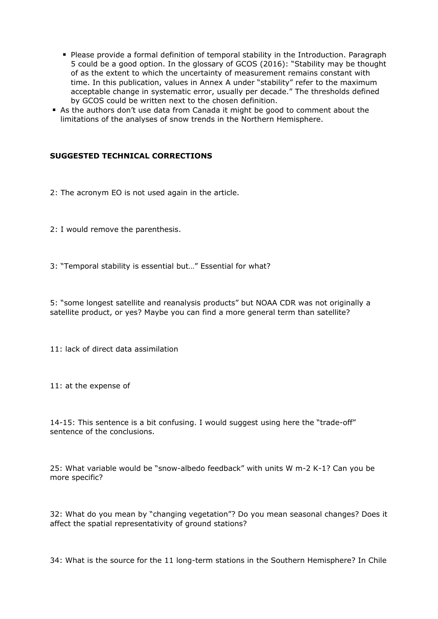- Please provide a formal definition of temporal stability in the Introduction. Paragraph 5 could be a good option. In the glossary of GCOS (2016): "Stability may be thought of as the extent to which the uncertainty of measurement remains constant with time. In this publication, values in Annex A under "stability" refer to the maximum acceptable change in systematic error, usually per decade." The thresholds defined by GCOS could be written next to the chosen definition.
- As the authors don't use data from Canada it might be good to comment about the limitations of the analyses of snow trends in the Northern Hemisphere.

## **SUGGESTED TECHNICAL CORRECTIONS**

2: The acronym EO is not used again in the article.

2: I would remove the parenthesis.

3: "Temporal stability is essential but…" Essential for what?

5: "some longest satellite and reanalysis products" but NOAA CDR was not originally a satellite product, or yes? Maybe you can find a more general term than satellite?

11: lack of direct data assimilation

11: at the expense of

14-15: This sentence is a bit confusing. I would suggest using here the "trade-off" sentence of the conclusions.

25: What variable would be "snow-albedo feedback" with units W m-2 K-1? Can you be more specific?

32: What do you mean by "changing vegetation"? Do you mean seasonal changes? Does it affect the spatial representativity of ground stations?

34: What is the source for the 11 long-term stations in the Southern Hemisphere? In Chile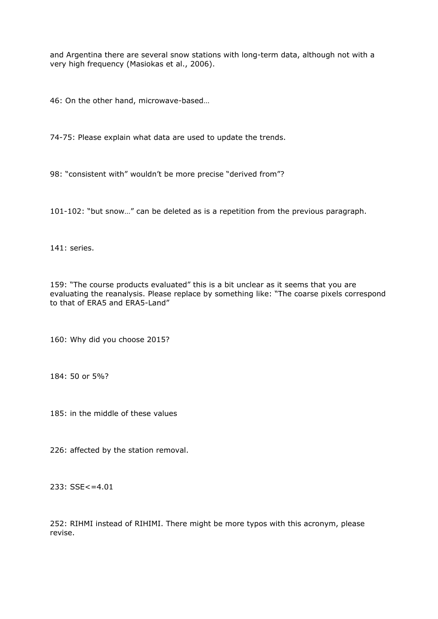and Argentina there are several snow stations with long-term data, although not with a very high frequency (Masiokas et al., 2006).

46: On the other hand, microwave-based…

74-75: Please explain what data are used to update the trends.

98: "consistent with" wouldn't be more precise "derived from"?

101-102: "but snow…" can be deleted as is a repetition from the previous paragraph.

141: series.

159: "The course products evaluated" this is a bit unclear as it seems that you are evaluating the reanalysis. Please replace by something like: "The coarse pixels correspond to that of ERA5 and ERA5-Land"

160: Why did you choose 2015?

184: 50 or 5%?

185: in the middle of these values

226: affected by the station removal.

233: SSE<=4.01

252: RIHMI instead of RIHIMI. There might be more typos with this acronym, please revise.